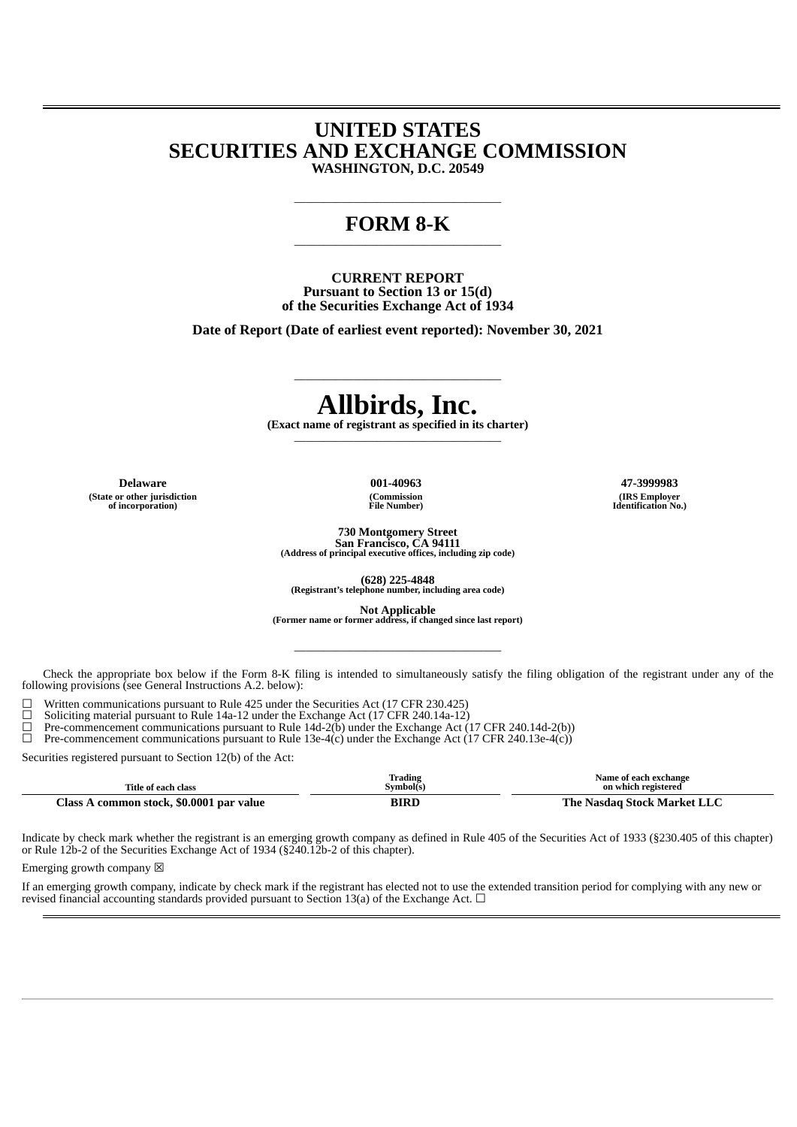# **UNITED STATES SECURITIES AND EXCHANGE COMMISSION WASHINGTON, D.C. 20549**

### **FORM 8-K** \_\_\_\_\_\_\_\_\_\_\_\_\_\_\_\_\_\_\_\_\_\_\_\_\_\_\_\_\_\_\_\_\_\_\_

\_\_\_\_\_\_\_\_\_\_\_\_\_\_\_\_\_\_\_\_\_\_\_\_\_\_\_\_\_\_\_\_\_\_\_

**CURRENT REPORT Pursuant to Section 13 or 15(d) of the Securities Exchange Act of 1934**

**Date of Report (Date of earliest event reported): November 30, 2021**

# **Allbirds, Inc.**

\_\_\_\_\_\_\_\_\_\_\_\_\_\_\_\_\_\_\_\_\_\_\_\_\_\_\_\_\_\_\_\_\_\_\_

**(Exact name of registrant as specified in its charter)** \_\_\_\_\_\_\_\_\_\_\_\_\_\_\_\_\_\_\_\_\_\_\_\_\_\_\_\_\_\_\_\_\_\_\_

**(State or other jurisdiction of incorporation)**

**(Commission File Number)**

**Delaware 001-40963 47-3999983 (IRS Employer Identification No.)**

> **730 Montgomery Street San Francisco, CA 94111**

**(Address of principal executive offices, including zip code)**

**(628) 225-4848 (Registrant's telephone number, including area code)**

**Not Applicable (Former name or former address, if changed since last report)** \_\_\_\_\_\_\_\_\_\_\_\_\_\_\_\_\_\_\_\_\_\_\_\_\_\_\_\_\_\_\_\_\_\_\_

Check the appropriate box below if the Form 8-K filing is intended to simultaneously satisfy the filing obligation of the registrant under any of the following provisions (see General Instructions A.2. below):

 $\Box$  Written communications pursuant to Rule 425 under the Securities Act (17 CFR 230.425)

□ Soliciting material pursuant to Rule 14a-12 under the Exchange Act (17 CFR 240.14a-12)<br>□ Pre-commencement communications pursuant to Rule 14d-2(b) under the Exchange Act (

 $\Box$  Pre-commencement communications pursuant to Rule 14d-2( $\breve{\text{b}}$ ) under the Exchange Act (17 CFR 240.14d-2(b))  $\Box$  Pre-commencement communications pursuant to Rule 13e-4(c) under the Exchange Act (17 CFR 240.13e-4(

Pre-commencement communications pursuant to Rule 13e-4(c) under the Exchange Act (17 CFR 240.13e-4(c))

Securities registered pursuant to Section 12(b) of the Act:

| Title of each class                                      | <b>Trading</b><br>Symbol(s) | Name of each exchange<br>on which registered |
|----------------------------------------------------------|-----------------------------|----------------------------------------------|
| Class <sub>1</sub><br>\ common stock, \$0.0001 par value | <b>BIRD</b>                 | The Nasdag Stock Market LLC                  |

Indicate by check mark whether the registrant is an emerging growth company as defined in Rule 405 of the Securities Act of 1933 (§230.405 of this chapter) or Rule 12b-2 of the Securities Exchange Act of 1934 (§240.12b-2 of this chapter).

Emerging growth company  $\boxtimes$ 

If an emerging growth company, indicate by check mark if the registrant has elected not to use the extended transition period for complying with any new or revised financial accounting standards provided pursuant to Section 13(a) of the Exchange Act.  $\Box$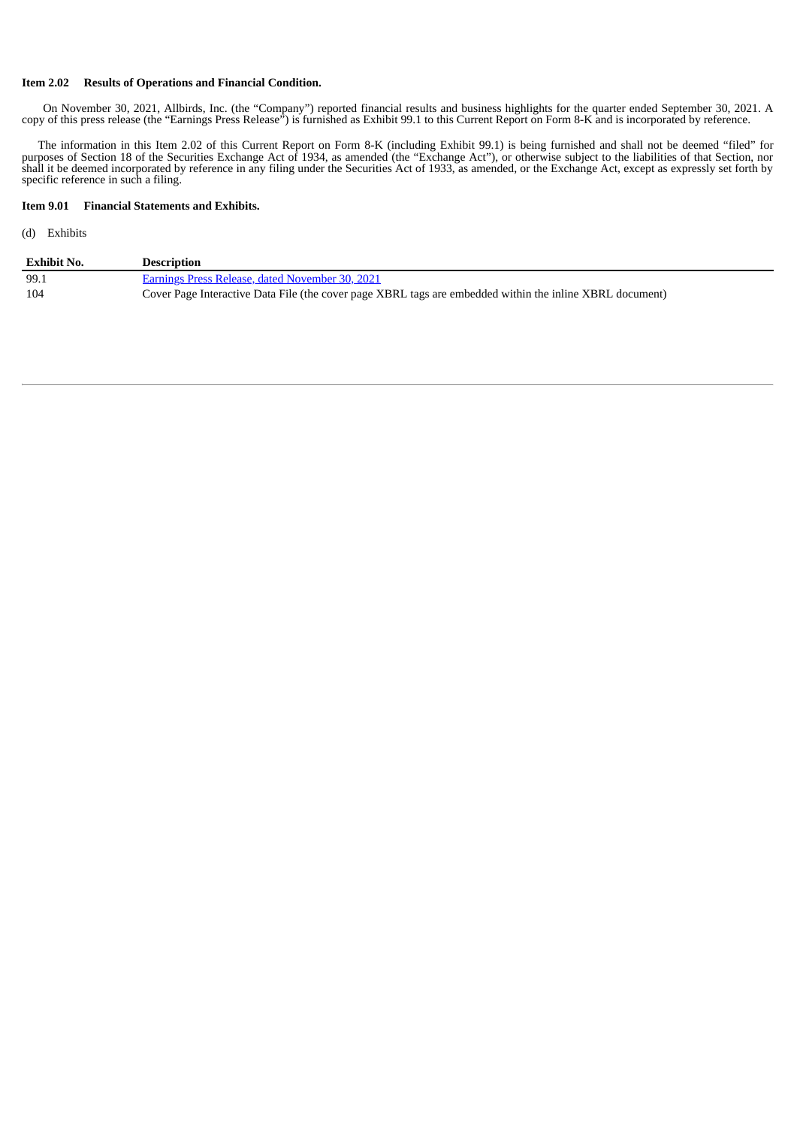#### **Item 2.02 Results of Operations and Financial Condition.**

On November 30, 2021, Allbirds, Inc. (the "Company") reported financial results and business highlights for the quarter ended September 30, 2021. A copy of this press release (the "Earnings Press Release") is furnished as Exhibit 99.1 to this Current Report on Form 8-K and is incorporated by reference.

The information in this Item 2.02 of this Current Report on Form 8-K (including Exhibit 99.1) is being furnished and shall not be deemed "filed" for purposes of Section 18 of the Securities Exchange Act of 1934, as amended (the "Exchange Act"), or otherwise subject to the liabilities of that Section, nor shall it be deemed incorporated by reference in any filing under the Securities Act of 1933, as amended, or the Exchange Act, except as expressly set forth by specific reference in such a filing.

#### **Item 9.01 Financial Statements and Exhibits.**

#### (d) Exhibits

| <b>Exhibit No.</b> | <b>Description</b>                                                                                       |
|--------------------|----------------------------------------------------------------------------------------------------------|
| 99.1               | Earnings Press Release, dated November 30, 2021                                                          |
| 104                | Cover Page Interactive Data File (the cover page XBRL tags are embedded within the inline XBRL document) |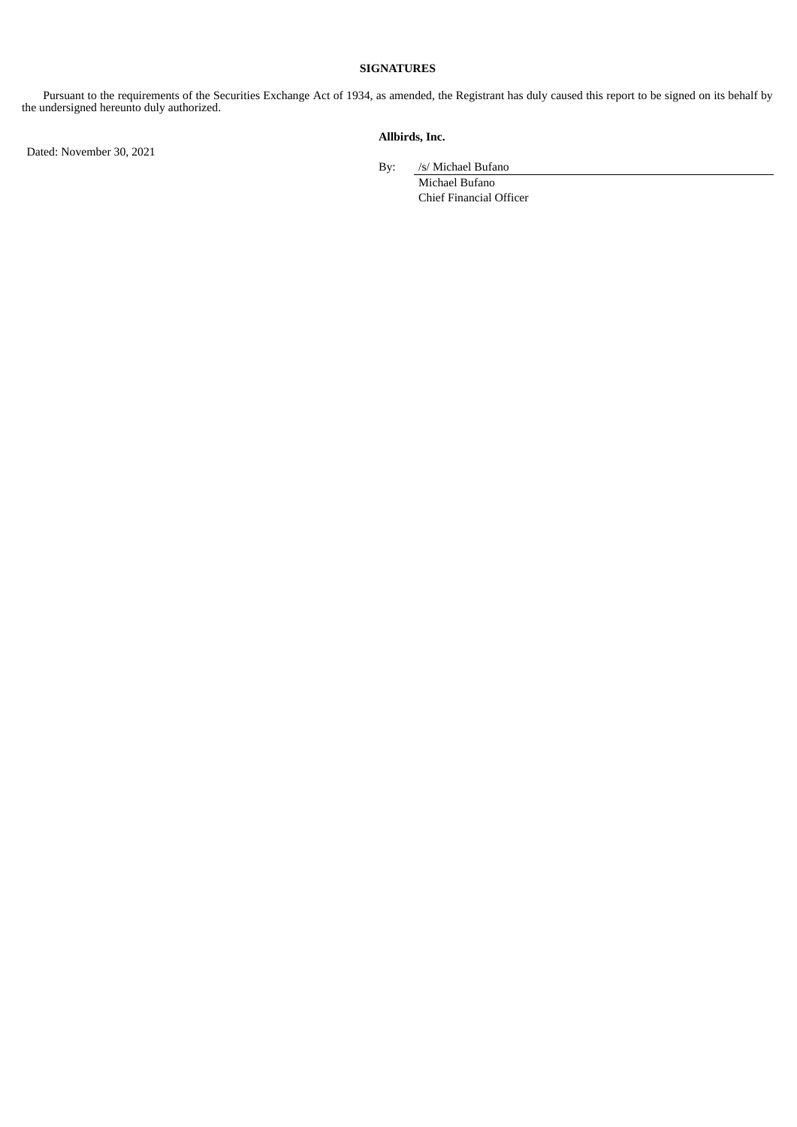#### **SIGNATURES**

Pursuant to the requirements of the Securities Exchange Act of 1934, as amended, the Registrant has duly caused this report to be signed on its behalf by the undersigned hereunto duly authorized.

Dated: November 30, 2021

#### **Allbirds, Inc.**

By: /s/ Michael Bufano

Michael Bufano Chief Financial Officer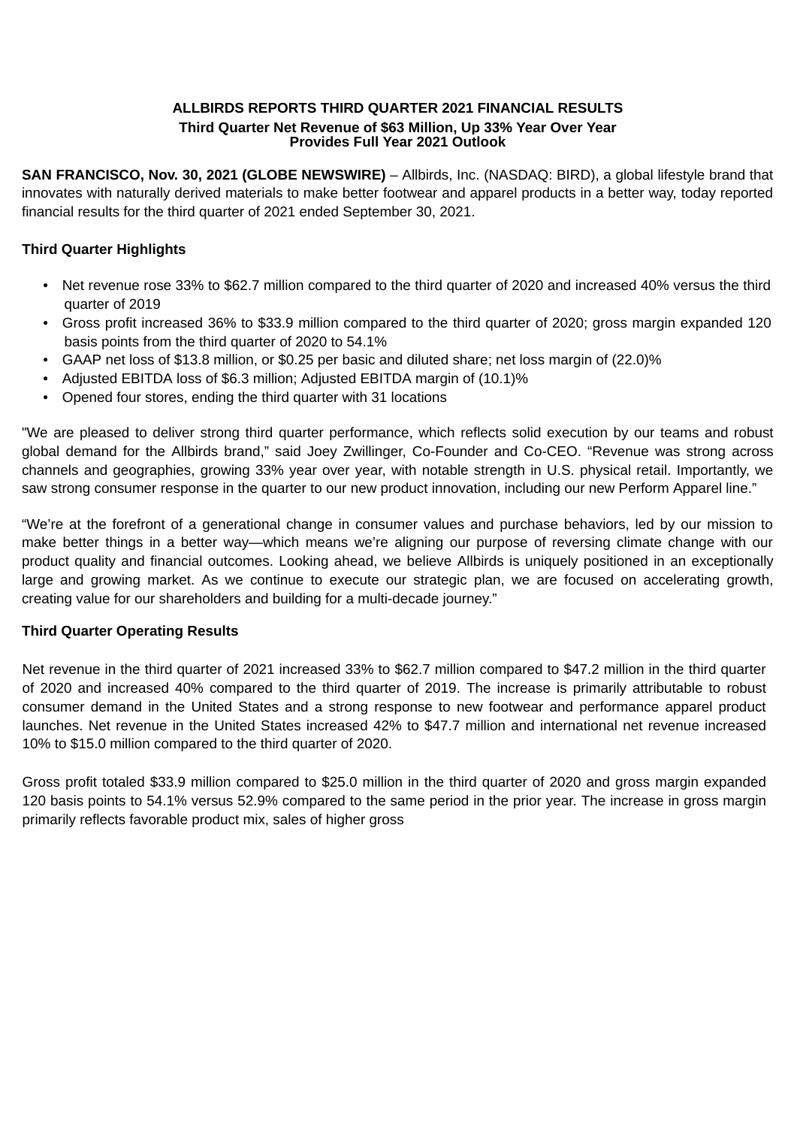## **ALLBIRDS REPORTS THIRD QUARTER 2021 FINANCIAL RESULTS Third Quarter Net Revenue of \$63 Million, Up 33% Year Over Year Provides Full Year 2021 Outlook**

<span id="page-3-0"></span>**SAN FRANCISCO, Nov. 30, 2021 (GLOBE NEWSWIRE)** – Allbirds, Inc. (NASDAQ: BIRD), a global lifestyle brand that innovates with naturally derived materials to make better footwear and apparel products in a better way, today reported financial results for the third quarter of 2021 ended September 30, 2021.

# **Third Quarter Highlights**

- Net revenue rose 33% to \$62.7 million compared to the third quarter of 2020 and increased 40% versus the third quarter of 2019
- Gross profit increased 36% to \$33.9 million compared to the third quarter of 2020; gross margin expanded 120 basis points from the third quarter of 2020 to 54.1%
- GAAP net loss of \$13.8 million, or \$0.25 per basic and diluted share; net loss margin of (22.0)%
- Adjusted EBITDA loss of \$6.3 million; Adjusted EBITDA margin of (10.1)%
- Opened four stores, ending the third quarter with 31 locations

"We are pleased to deliver strong third quarter performance, which reflects solid execution by our teams and robust global demand for the Allbirds brand," said Joey Zwillinger, Co-Founder and Co-CEO. "Revenue was strong across channels and geographies, growing 33% year over year, with notable strength in U.S. physical retail. Importantly, we saw strong consumer response in the quarter to our new product innovation, including our new Perform Apparel line."

"We're at the forefront of a generational change in consumer values and purchase behaviors, led by our mission to make better things in a better way—which means we're aligning our purpose of reversing climate change with our product quality and financial outcomes. Looking ahead, we believe Allbirds is uniquely positioned in an exceptionally large and growing market. As we continue to execute our strategic plan, we are focused on accelerating growth, creating value for our shareholders and building for a multi-decade journey."

# **Third Quarter Operating Results**

Net revenue in the third quarter of 2021 increased 33% to \$62.7 million compared to \$47.2 million in the third quarter of 2020 and increased 40% compared to the third quarter of 2019. The increase is primarily attributable to robust consumer demand in the United States and a strong response to new footwear and performance apparel product launches. Net revenue in the United States increased 42% to \$47.7 million and international net revenue increased 10% to \$15.0 million compared to the third quarter of 2020.

Gross profit totaled \$33.9 million compared to \$25.0 million in the third quarter of 2020 and gross margin expanded 120 basis points to 54.1% versus 52.9% compared to the same period in the prior year. The increase in gross margin primarily reflects favorable product mix, sales of higher gross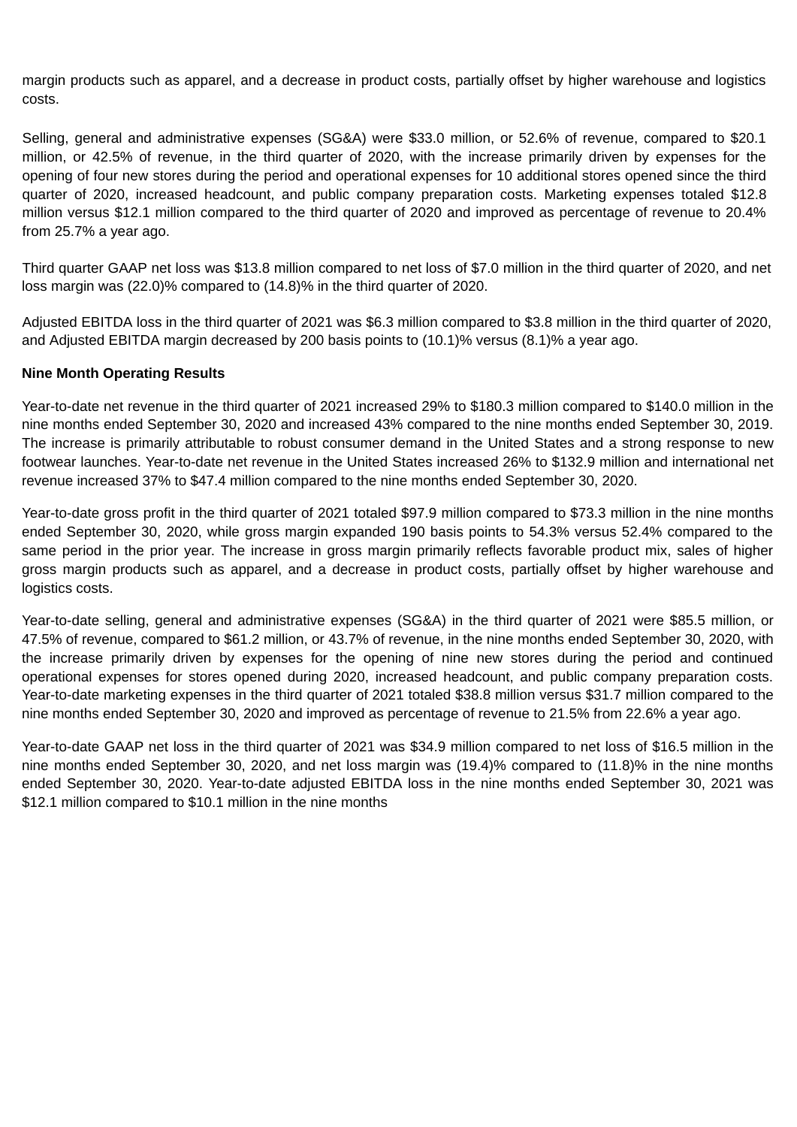margin products such as apparel, and a decrease in product costs, partially offset by higher warehouse and logistics costs.

Selling, general and administrative expenses (SG&A) were \$33.0 million, or 52.6% of revenue, compared to \$20.1 million, or 42.5% of revenue, in the third quarter of 2020, with the increase primarily driven by expenses for the opening of four new stores during the period and operational expenses for 10 additional stores opened since the third quarter of 2020, increased headcount, and public company preparation costs. Marketing expenses totaled \$12.8 million versus \$12.1 million compared to the third quarter of 2020 and improved as percentage of revenue to 20.4% from 25.7% a year ago.

Third quarter GAAP net loss was \$13.8 million compared to net loss of \$7.0 million in the third quarter of 2020, and net loss margin was (22.0)% compared to (14.8)% in the third quarter of 2020.

Adjusted EBITDA loss in the third quarter of 2021 was \$6.3 million compared to \$3.8 million in the third quarter of 2020, and Adjusted EBITDA margin decreased by 200 basis points to (10.1)% versus (8.1)% a year ago.

## **Nine Month Operating Results**

Year-to-date net revenue in the third quarter of 2021 increased 29% to \$180.3 million compared to \$140.0 million in the nine months ended September 30, 2020 and increased 43% compared to the nine months ended September 30, 2019. The increase is primarily attributable to robust consumer demand in the United States and a strong response to new footwear launches. Year-to-date net revenue in the United States increased 26% to \$132.9 million and international net revenue increased 37% to \$47.4 million compared to the nine months ended September 30, 2020.

Year-to-date gross profit in the third quarter of 2021 totaled \$97.9 million compared to \$73.3 million in the nine months ended September 30, 2020, while gross margin expanded 190 basis points to 54.3% versus 52.4% compared to the same period in the prior year. The increase in gross margin primarily reflects favorable product mix, sales of higher gross margin products such as apparel, and a decrease in product costs, partially offset by higher warehouse and logistics costs.

Year-to-date selling, general and administrative expenses (SG&A) in the third quarter of 2021 were \$85.5 million, or 47.5% of revenue, compared to \$61.2 million, or 43.7% of revenue, in the nine months ended September 30, 2020, with the increase primarily driven by expenses for the opening of nine new stores during the period and continued operational expenses for stores opened during 2020, increased headcount, and public company preparation costs. Year-to-date marketing expenses in the third quarter of 2021 totaled \$38.8 million versus \$31.7 million compared to the nine months ended September 30, 2020 and improved as percentage of revenue to 21.5% from 22.6% a year ago.

Year-to-date GAAP net loss in the third quarter of 2021 was \$34.9 million compared to net loss of \$16.5 million in the nine months ended September 30, 2020, and net loss margin was (19.4)% compared to (11.8)% in the nine months ended September 30, 2020. Year-to-date adjusted EBITDA loss in the nine months ended September 30, 2021 was \$12.1 million compared to \$10.1 million in the nine months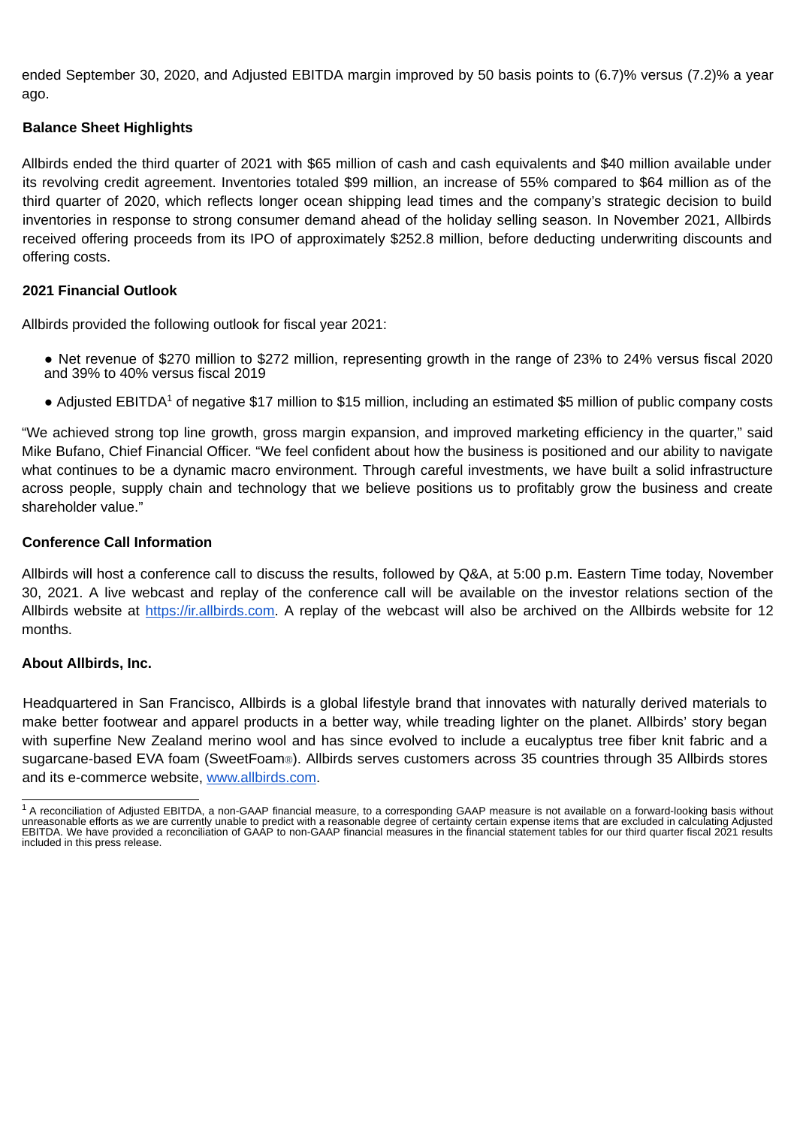ended September 30, 2020, and Adjusted EBITDA margin improved by 50 basis points to (6.7)% versus (7.2)% a year ago.

# **Balance Sheet Highlights**

Allbirds ended the third quarter of 2021 with \$65 million of cash and cash equivalents and \$40 million available under its revolving credit agreement. Inventories totaled \$99 million, an increase of 55% compared to \$64 million as of the third quarter of 2020, which reflects longer ocean shipping lead times and the company's strategic decision to build inventories in response to strong consumer demand ahead of the holiday selling season. In November 2021, Allbirds received offering proceeds from its IPO of approximately \$252.8 million, before deducting underwriting discounts and offering costs.

## **2021 Financial Outlook**

Allbirds provided the following outlook for fiscal year 2021:

- Net revenue of \$270 million to \$272 million, representing growth in the range of 23% to 24% versus fiscal 2020 and 39% to 40% versus fiscal 2019
- Adjusted EBITDA<sup>1</sup> of negative \$17 million to \$15 million, including an estimated \$5 million of public company costs

"We achieved strong top line growth, gross margin expansion, and improved marketing efficiency in the quarter," said Mike Bufano, Chief Financial Officer. "We feel confident about how the business is positioned and our ability to navigate what continues to be a dynamic macro environment. Through careful investments, we have built a solid infrastructure across people, supply chain and technology that we believe positions us to profitably grow the business and create shareholder value."

## **Conference Call Information**

Allbirds will host a conference call to discuss the results, followed by Q&A, at 5:00 p.m. Eastern Time today, November 30, 2021. A live webcast and replay of the conference call will be available on the investor relations section of the Allbirds website at https://ir.allbirds.com. A replay of the webcast will also be archived on the Allbirds website for 12 months.

## **About Allbirds, Inc.**

Headquartered in San Francisco, Allbirds is a global lifestyle brand that innovates with naturally derived materials to make better footwear and apparel products in a better way, while treading lighter on the planet. Allbirds' story began with superfine New Zealand merino wool and has since evolved to include a eucalyptus tree fiber knit fabric and a sugarcane-based EVA foam (SweetFoam®). Allbirds serves customers across 35 countries through 35 Allbirds stores and its e-commerce website, www.allbirds.com.

 $^{\rm 1}$  A reconciliation of Adjusted EBITDA, a non-GAAP financial measure, to a corresponding GAAP measure is not available on a forward-looking basis without unreasonable efforts as we are currently unable to predict with a reasonable degree of certainty certain expense items that are excluded in calculating Adjusted EBITDA. We have provided a reconciliation of GAAP to non-GAAP financial measures in the financial statement tables for our third quarter fiscal 2021 results included in this press release.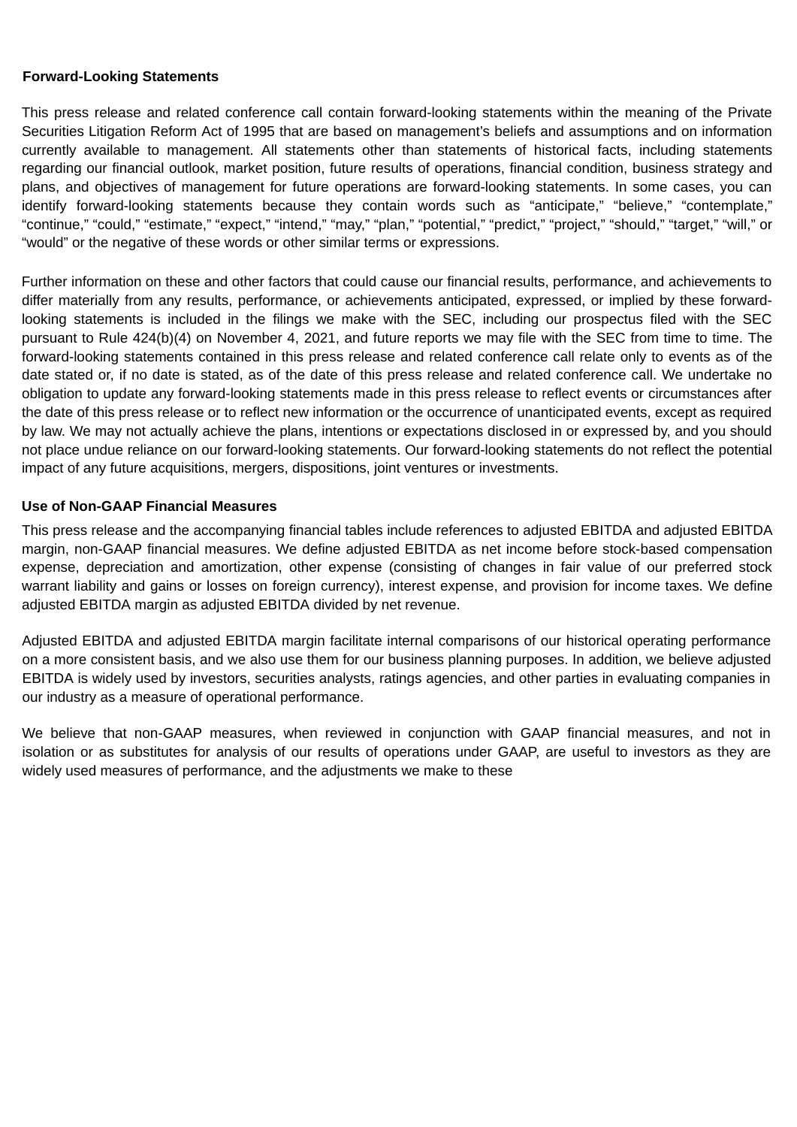### **Forward-Looking Statements**

This press release and related conference call contain forward-looking statements within the meaning of the Private Securities Litigation Reform Act of 1995 that are based on management's beliefs and assumptions and on information currently available to management. All statements other than statements of historical facts, including statements regarding our financial outlook, market position, future results of operations, financial condition, business strategy and plans, and objectives of management for future operations are forward-looking statements. In some cases, you can identify forward-looking statements because they contain words such as "anticipate," "believe," "contemplate," "continue," "could," "estimate," "expect," "intend," "may," "plan," "potential," "predict," "project," "should," "target," "will," or "would" or the negative of these words or other similar terms or expressions.

Further information on these and other factors that could cause our financial results, performance, and achievements to differ materially from any results, performance, or achievements anticipated, expressed, or implied by these forwardlooking statements is included in the filings we make with the SEC, including our prospectus filed with the SEC pursuant to Rule 424(b)(4) on November 4, 2021, and future reports we may file with the SEC from time to time. The forward-looking statements contained in this press release and related conference call relate only to events as of the date stated or, if no date is stated, as of the date of this press release and related conference call. We undertake no obligation to update any forward-looking statements made in this press release to reflect events or circumstances after the date of this press release or to reflect new information or the occurrence of unanticipated events, except as required by law. We may not actually achieve the plans, intentions or expectations disclosed in or expressed by, and you should not place undue reliance on our forward-looking statements. Our forward-looking statements do not reflect the potential impact of any future acquisitions, mergers, dispositions, joint ventures or investments.

## **Use of Non-GAAP Financial Measures**

This press release and the accompanying financial tables include references to adjusted EBITDA and adjusted EBITDA margin, non-GAAP financial measures. We define adjusted EBITDA as net income before stock-based compensation expense, depreciation and amortization, other expense (consisting of changes in fair value of our preferred stock warrant liability and gains or losses on foreign currency), interest expense, and provision for income taxes. We define adjusted EBITDA margin as adjusted EBITDA divided by net revenue.

Adjusted EBITDA and adjusted EBITDA margin facilitate internal comparisons of our historical operating performance on a more consistent basis, and we also use them for our business planning purposes. In addition, we believe adjusted EBITDA is widely used by investors, securities analysts, ratings agencies, and other parties in evaluating companies in our industry as a measure of operational performance.

We believe that non-GAAP measures, when reviewed in conjunction with GAAP financial measures, and not in isolation or as substitutes for analysis of our results of operations under GAAP, are useful to investors as they are widely used measures of performance, and the adjustments we make to these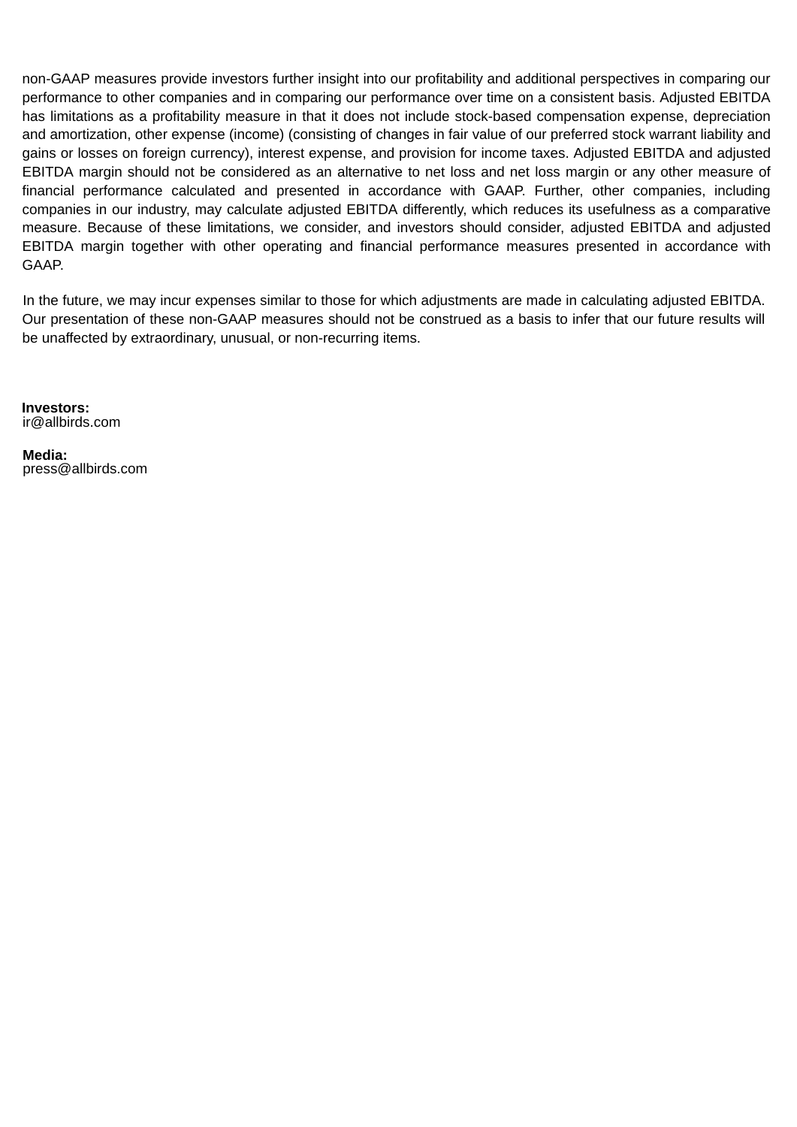non-GAAP measures provide investors further insight into our profitability and additional perspectives in comparing our performance to other companies and in comparing our performance over time on a consistent basis. Adjusted EBITDA has limitations as a profitability measure in that it does not include stock-based compensation expense, depreciation and amortization, other expense (income) (consisting of changes in fair value of our preferred stock warrant liability and gains or losses on foreign currency), interest expense, and provision for income taxes. Adjusted EBITDA and adjusted EBITDA margin should not be considered as an alternative to net loss and net loss margin or any other measure of financial performance calculated and presented in accordance with GAAP. Further, other companies, including companies in our industry, may calculate adjusted EBITDA differently, which reduces its usefulness as a comparative measure. Because of these limitations, we consider, and investors should consider, adjusted EBITDA and adjusted EBITDA margin together with other operating and financial performance measures presented in accordance with GAAP.

In the future, we may incur expenses similar to those for which adjustments are made in calculating adjusted EBITDA. Our presentation of these non-GAAP measures should not be construed as a basis to infer that our future results will be unaffected by extraordinary, unusual, or non-recurring items.

**Investors:** ir@allbirds.com

**Media:** press@allbirds.com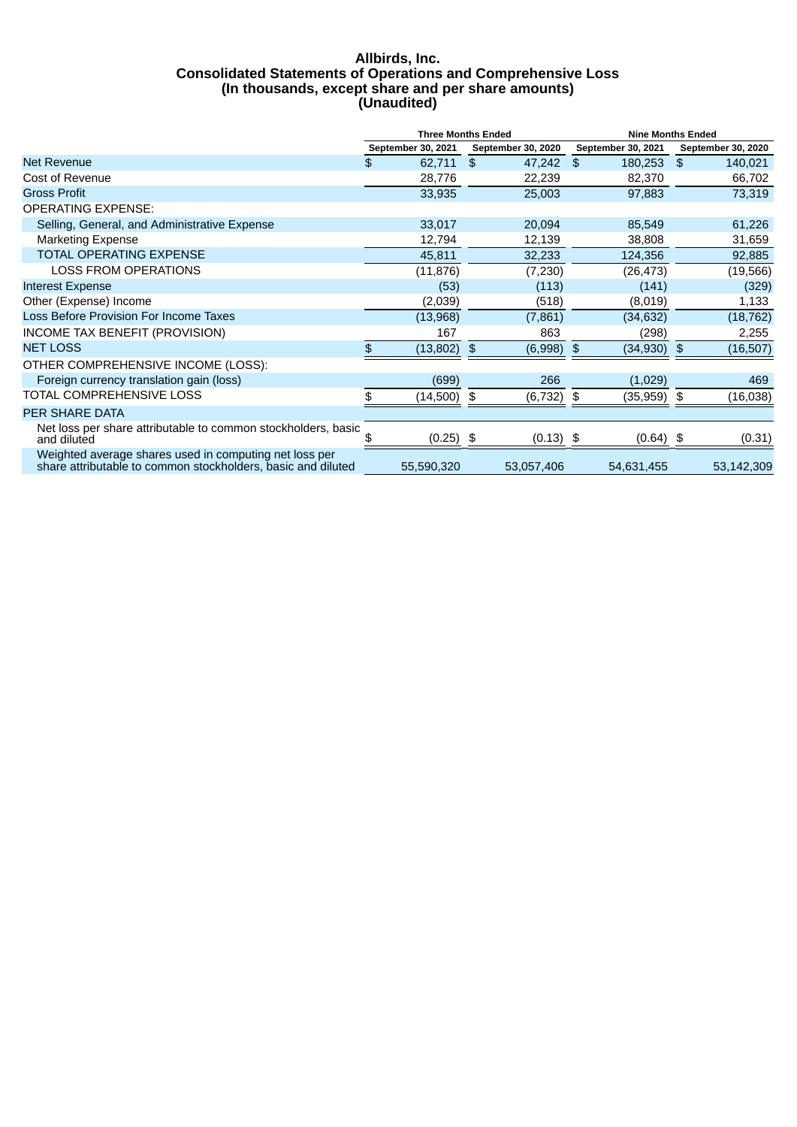#### **Allbirds, Inc. Consolidated Statements of Operations and Comprehensive Loss (In thousands, except share and per share amounts) (Unaudited)**

|                                                                                                                        | <b>Three Months Ended</b> |               |    | <b>Nine Months Ended</b> |               |                    |    |                    |
|------------------------------------------------------------------------------------------------------------------------|---------------------------|---------------|----|--------------------------|---------------|--------------------|----|--------------------|
|                                                                                                                        | September 30, 2021        |               |    | September 30, 2020       |               | September 30, 2021 |    | September 30, 2020 |
| Net Revenue                                                                                                            | \$                        | 62,711        | \$ | 47,242                   | \$            | 180,253            | \$ | 140,021            |
| Cost of Revenue                                                                                                        |                           | 28,776        |    | 22,239                   |               | 82,370             |    | 66,702             |
| <b>Gross Profit</b>                                                                                                    |                           | 33,935        |    | 25,003                   |               | 97,883             |    | 73,319             |
| <b>OPERATING EXPENSE:</b>                                                                                              |                           |               |    |                          |               |                    |    |                    |
| Selling, General, and Administrative Expense                                                                           |                           | 33,017        |    | 20,094                   |               | 85,549             |    | 61,226             |
| <b>Marketing Expense</b>                                                                                               |                           | 12,794        |    | 12,139                   |               | 38,808             |    | 31,659             |
| <b>TOTAL OPERATING EXPENSE</b>                                                                                         |                           | 45,811        |    | 32,233                   |               | 124,356            |    | 92,885             |
| <b>LOSS FROM OPERATIONS</b>                                                                                            |                           | (11, 876)     |    | (7, 230)                 |               | (26, 473)          |    | (19, 566)          |
| <b>Interest Expense</b>                                                                                                |                           | (53)          |    | (113)                    |               | (141)              |    | (329)              |
| Other (Expense) Income                                                                                                 |                           | (2,039)       |    | (518)                    |               | (8,019)            |    | 1,133              |
| Loss Before Provision For Income Taxes                                                                                 |                           | (13,968)      |    | (7, 861)                 |               | (34, 632)          |    | (18, 762)          |
| INCOME TAX BENEFIT (PROVISION)                                                                                         |                           | 167           |    | 863                      |               | (298)              |    | 2,255              |
| <b>NET LOSS</b>                                                                                                        | \$                        | $(13,802)$ \$ |    | (6,998)                  | $\frac{1}{2}$ | $(34,930)$ \$      |    | (16,507)           |
| OTHER COMPREHENSIVE INCOME (LOSS):                                                                                     |                           |               |    |                          |               |                    |    |                    |
| Foreign currency translation gain (loss)                                                                               |                           | (699)         |    | 266                      |               | (1,029)            |    | 469                |
| TOTAL COMPREHENSIVE LOSS                                                                                               | \$                        | $(14,500)$ \$ |    | (6, 732)                 | \$            | $(35,959)$ \$      |    | (16, 038)          |
| <b>PER SHARE DATA</b>                                                                                                  |                           |               |    |                          |               |                    |    |                    |
| Net loss per share attributable to common stockholders, basic<br>and diluted                                           | SS.                       | $(0.25)$ \$   |    | $(0.13)$ \$              |               | $(0.64)$ \$        |    | (0.31)             |
| Weighted average shares used in computing net loss per<br>share attributable to common stockholders, basic and diluted |                           | 55,590,320    |    | 53,057,406               |               | 54,631,455         |    | 53,142,309         |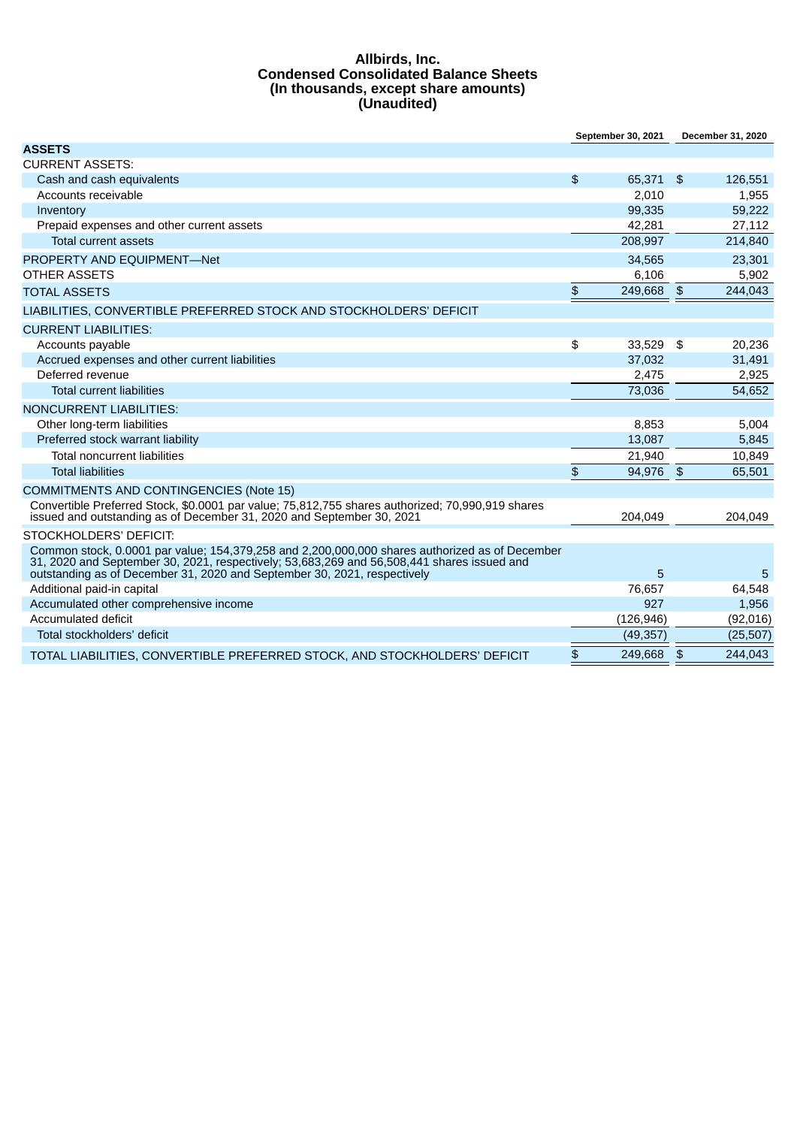#### **Allbirds, Inc. Condensed Consolidated Balance Sheets (In thousands, except share amounts) (Unaudited)**

|                                                                                                                                                                                                                                                                          |    | September 30, 2021 | December 31, 2020 |           |
|--------------------------------------------------------------------------------------------------------------------------------------------------------------------------------------------------------------------------------------------------------------------------|----|--------------------|-------------------|-----------|
| <b>ASSETS</b>                                                                                                                                                                                                                                                            |    |                    |                   |           |
| <b>CURRENT ASSETS:</b>                                                                                                                                                                                                                                                   |    |                    |                   |           |
| Cash and cash equivalents                                                                                                                                                                                                                                                | \$ | 65,371 \$          |                   | 126,551   |
| Accounts receivable                                                                                                                                                                                                                                                      |    | 2.010              |                   | 1,955     |
| Inventory                                                                                                                                                                                                                                                                |    | 99,335             |                   | 59,222    |
| Prepaid expenses and other current assets                                                                                                                                                                                                                                |    | 42,281             |                   | 27,112    |
| <b>Total current assets</b>                                                                                                                                                                                                                                              |    | 208,997            |                   | 214,840   |
| PROPERTY AND EQUIPMENT-Net                                                                                                                                                                                                                                               |    | 34,565             |                   | 23,301    |
| OTHER ASSETS                                                                                                                                                                                                                                                             |    | 6,106              |                   | 5,902     |
| <b>TOTAL ASSETS</b>                                                                                                                                                                                                                                                      | \$ | 249,668            | $\frac{3}{2}$     | 244,043   |
| LIABILITIES, CONVERTIBLE PREFERRED STOCK AND STOCKHOLDERS' DEFICIT                                                                                                                                                                                                       |    |                    |                   |           |
| <b>CURRENT LIABILITIES:</b>                                                                                                                                                                                                                                              |    |                    |                   |           |
| Accounts payable                                                                                                                                                                                                                                                         | \$ | 33.529             | \$                | 20,236    |
| Accrued expenses and other current liabilities                                                                                                                                                                                                                           |    | 37,032             |                   | 31,491    |
| Deferred revenue                                                                                                                                                                                                                                                         |    | 2,475              |                   | 2,925     |
| <b>Total current liabilities</b>                                                                                                                                                                                                                                         |    | 73.036             |                   | 54.652    |
| <b>NONCURRENT LIABILITIES:</b>                                                                                                                                                                                                                                           |    |                    |                   |           |
| Other long-term liabilities                                                                                                                                                                                                                                              |    | 8,853              |                   | 5,004     |
| Preferred stock warrant liability                                                                                                                                                                                                                                        |    | 13,087             |                   | 5,845     |
| <b>Total noncurrent liabilities</b>                                                                                                                                                                                                                                      |    | 21.940             |                   | 10,849    |
| <b>Total liabilities</b>                                                                                                                                                                                                                                                 | \$ | 94,976 \$          |                   | 65,501    |
| <b>COMMITMENTS AND CONTINGENCIES (Note 15)</b>                                                                                                                                                                                                                           |    |                    |                   |           |
| Convertible Preferred Stock, \$0.0001 par value; 75,812,755 shares authorized; 70,990,919 shares<br>issued and outstanding as of December 31, 2020 and September 30, 2021                                                                                                |    | 204.049            |                   | 204.049   |
| STOCKHOLDERS' DEFICIT:                                                                                                                                                                                                                                                   |    |                    |                   |           |
| Common stock, 0.0001 par value; 154,379,258 and 2,200,000,000 shares authorized as of December<br>31, 2020 and September 30, 2021, respectively; 53,683,269 and 56,508,441 shares issued and<br>outstanding as of December 31, 2020 and September 30, 2021, respectively |    | 5                  |                   | 5         |
| Additional paid-in capital                                                                                                                                                                                                                                               |    | 76,657             |                   | 64,548    |
| Accumulated other comprehensive income                                                                                                                                                                                                                                   |    | 927                |                   | 1,956     |
| Accumulated deficit                                                                                                                                                                                                                                                      |    | (126, 946)         |                   | (92,016)  |
| Total stockholders' deficit                                                                                                                                                                                                                                              |    | (49, 357)          |                   | (25, 507) |
| TOTAL LIABILITIES, CONVERTIBLE PREFERRED STOCK, AND STOCKHOLDERS' DEFICIT                                                                                                                                                                                                | \$ | 249,668            | $\frac{3}{2}$     | 244,043   |
|                                                                                                                                                                                                                                                                          |    |                    |                   |           |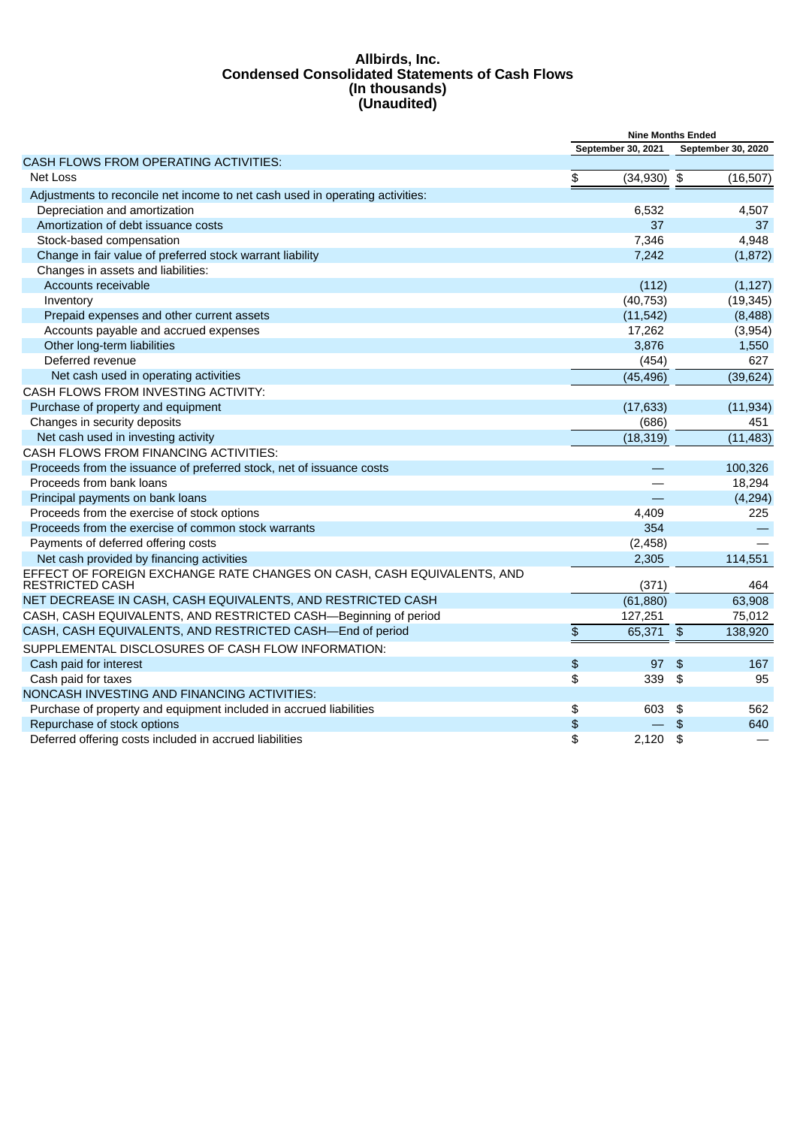#### **Allbirds, Inc. Condensed Consolidated Statements of Cash Flows (In thousands) (Unaudited)**

|                                                                                                  | <b>Nine Months Ended</b> |                    |                |                    |
|--------------------------------------------------------------------------------------------------|--------------------------|--------------------|----------------|--------------------|
|                                                                                                  |                          | September 30, 2021 |                | September 30, 2020 |
| CASH FLOWS FROM OPERATING ACTIVITIES:                                                            |                          |                    |                |                    |
| Net Loss                                                                                         | \$                       | (34, 930)          | \$             | (16, 507)          |
| Adjustments to reconcile net income to net cash used in operating activities:                    |                          |                    |                |                    |
| Depreciation and amortization                                                                    |                          | 6,532              |                | 4,507              |
| Amortization of debt issuance costs                                                              |                          | 37                 |                | 37                 |
| Stock-based compensation                                                                         |                          | 7,346              |                | 4,948              |
| Change in fair value of preferred stock warrant liability                                        |                          | 7,242              |                | (1, 872)           |
| Changes in assets and liabilities:                                                               |                          |                    |                |                    |
| Accounts receivable                                                                              |                          | (112)              |                | (1, 127)           |
| Inventory                                                                                        |                          | (40, 753)          |                | (19, 345)          |
| Prepaid expenses and other current assets                                                        |                          | (11, 542)          |                | (8,488)            |
| Accounts payable and accrued expenses                                                            |                          | 17,262             |                | (3,954)            |
| Other long-term liabilities                                                                      |                          | 3,876              |                | 1,550              |
| Deferred revenue                                                                                 |                          | (454)              |                | 627                |
| Net cash used in operating activities                                                            |                          | (45, 496)          |                | (39, 624)          |
| CASH FLOWS FROM INVESTING ACTIVITY:                                                              |                          |                    |                |                    |
| Purchase of property and equipment                                                               |                          | (17, 633)          |                | (11, 934)          |
| Changes in security deposits                                                                     |                          | (686)              |                | 451                |
| Net cash used in investing activity                                                              |                          | (18, 319)          |                | (11, 483)          |
| CASH FLOWS FROM FINANCING ACTIVITIES:                                                            |                          |                    |                |                    |
| Proceeds from the issuance of preferred stock, net of issuance costs                             |                          |                    |                | 100,326            |
| Proceeds from bank loans                                                                         |                          |                    |                | 18,294             |
| Principal payments on bank loans                                                                 |                          | $\equiv$           |                | (4, 294)           |
| Proceeds from the exercise of stock options                                                      |                          | 4,409              |                | 225                |
| Proceeds from the exercise of common stock warrants                                              |                          | 354                |                |                    |
| Payments of deferred offering costs                                                              |                          | (2,458)            |                |                    |
| Net cash provided by financing activities                                                        |                          | 2,305              |                | 114,551            |
| EFFECT OF FOREIGN EXCHANGE RATE CHANGES ON CASH, CASH EQUIVALENTS, AND<br><b>RESTRICTED CASH</b> |                          | (371)              |                | 464                |
| NET DECREASE IN CASH, CASH EQUIVALENTS, AND RESTRICTED CASH                                      |                          | (61, 880)          |                | 63,908             |
| CASH, CASH EQUIVALENTS, AND RESTRICTED CASH-Beginning of period                                  |                          | 127,251            |                | 75,012             |
| CASH, CASH EQUIVALENTS, AND RESTRICTED CASH-End of period                                        | \$                       | 65,371             | $\sqrt{3}$     | 138,920            |
| SUPPLEMENTAL DISCLOSURES OF CASH FLOW INFORMATION:                                               |                          |                    |                |                    |
| Cash paid for interest                                                                           | $\spadesuit$             | 97                 | $\mathfrak{L}$ | 167                |
| Cash paid for taxes                                                                              | \$                       | 339                | \$             | 95                 |
| NONCASH INVESTING AND FINANCING ACTIVITIES:                                                      |                          |                    |                |                    |
| Purchase of property and equipment included in accrued liabilities                               | \$                       | 603                | \$             | 562                |
| Repurchase of stock options                                                                      | \$                       |                    | $\frac{4}{5}$  | 640                |
| Deferred offering costs included in accrued liabilities                                          | \$                       | 2.120              | \$             |                    |